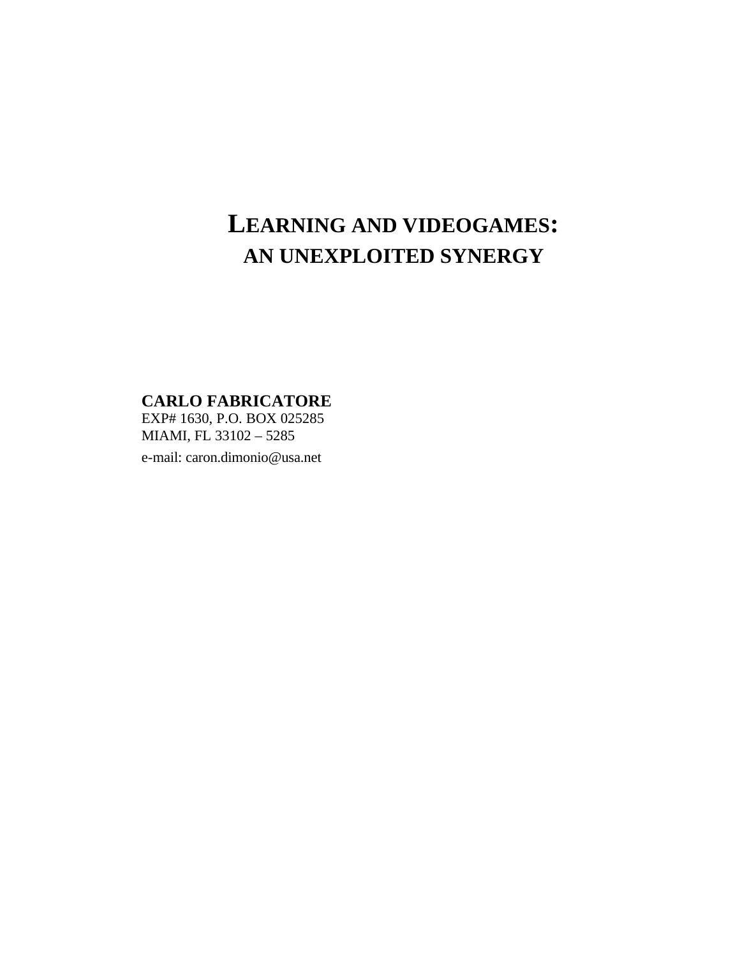# **LEARNING AND VIDEOGAMES: AN UNEXPLOITED SYNERGY**

**CARLO FABRICATORE**

EXP# 1630, P.O. BOX 025285 MIAMI, FL 33102 – 5285

e-mail: caron.dimonio@usa.net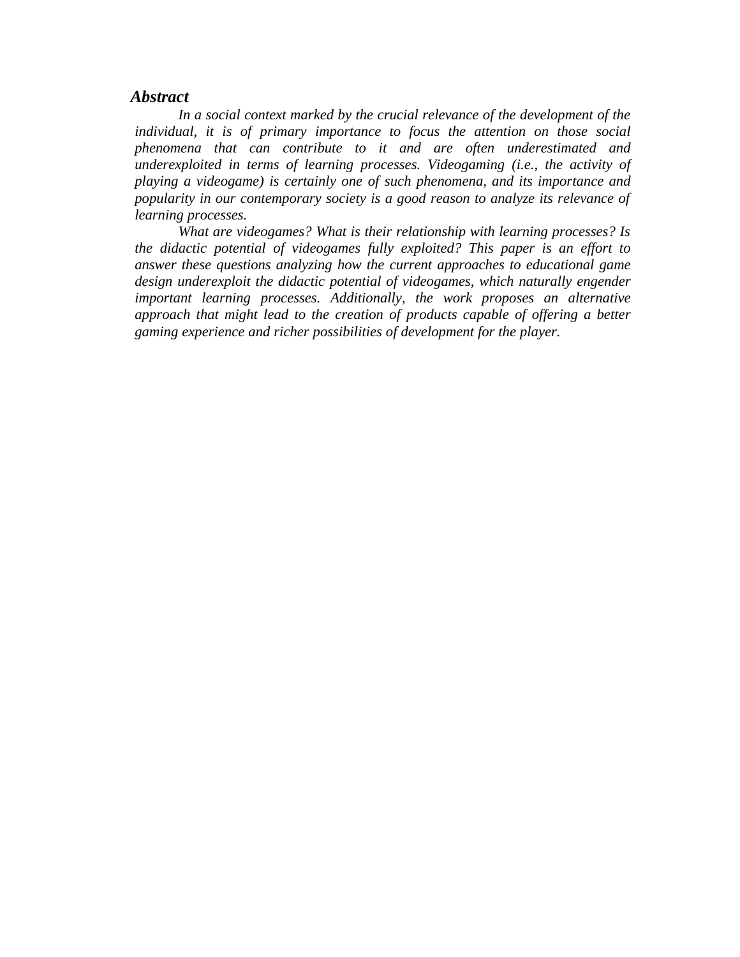#### *Abstract*

*In a social context marked by the crucial relevance of the development of the individual, it is of primary importance to focus the attention on those social phenomena that can contribute to it and are often underestimated and underexploited in terms of learning processes. Videogaming (i.e., the activity of playing a videogame) is certainly one of such phenomena, and its importance and popularity in our contemporary society is a good reason to analyze its relevance of learning processes.*

*What are videogames? What is their relationship with learning processes? Is the didactic potential of videogames fully exploited? This paper is an effort to answer these questions analyzing how the current approaches to educational game design underexploit the didactic potential of videogames, which naturally engender important learning processes. Additionally, the work proposes an alternative approach that might lead to the creation of products capable of offering a better gaming experience and richer possibilities of development for the player.*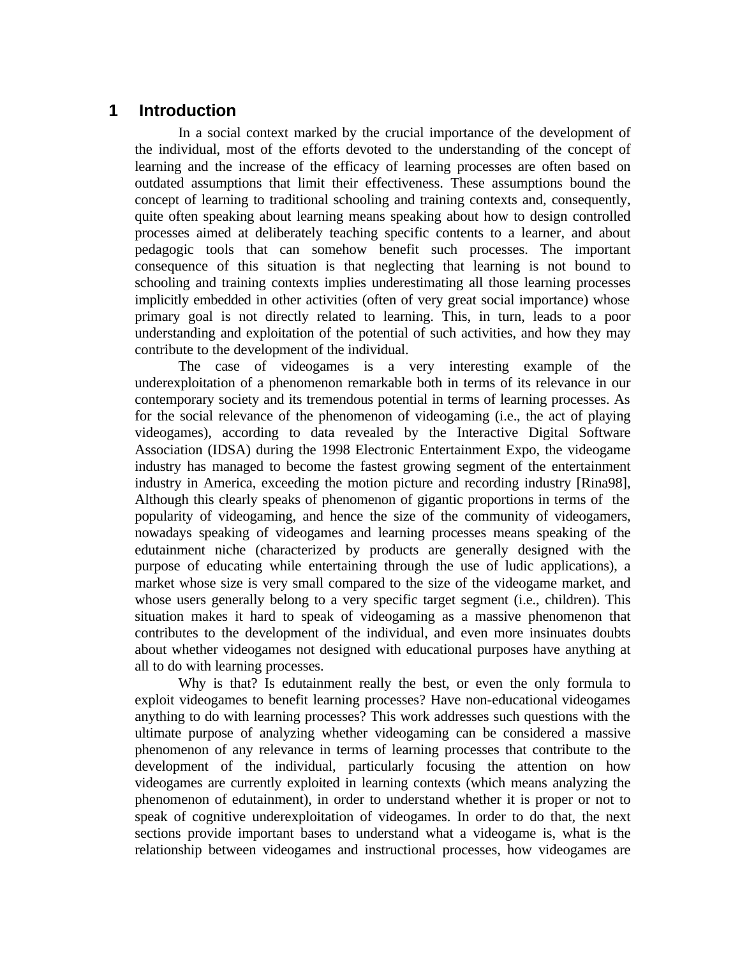# **1 Introduction**

In a social context marked by the crucial importance of the development of the individual, most of the efforts devoted to the understanding of the concept of learning and the increase of the efficacy of learning processes are often based on outdated assumptions that limit their effectiveness. These assumptions bound the concept of learning to traditional schooling and training contexts and, consequently, quite often speaking about learning means speaking about how to design controlled processes aimed at deliberately teaching specific contents to a learner, and about pedagogic tools that can somehow benefit such processes. The important consequence of this situation is that neglecting that learning is not bound to schooling and training contexts implies underestimating all those learning processes implicitly embedded in other activities (often of very great social importance) whose primary goal is not directly related to learning. This, in turn, leads to a poor understanding and exploitation of the potential of such activities, and how they may contribute to the development of the individual.

The case of videogames is a very interesting example of the underexploitation of a phenomenon remarkable both in terms of its relevance in our contemporary society and its tremendous potential in terms of learning processes. As for the social relevance of the phenomenon of videogaming (i.e., the act of playing videogames), according to data revealed by the Interactive Digital Software Association (IDSA) during the 1998 Electronic Entertainment Expo, the videogame industry has managed to become the fastest growing segment of the entertainment industry in America, exceeding the motion picture and recording industry [Rina98], Although this clearly speaks of phenomenon of gigantic proportions in terms of the popularity of videogaming, and hence the size of the community of videogamers, nowadays speaking of videogames and learning processes means speaking of the edutainment niche (characterized by products are generally designed with the purpose of educating while entertaining through the use of ludic applications), a market whose size is very small compared to the size of the videogame market, and whose users generally belong to a very specific target segment (i.e., children). This situation makes it hard to speak of videogaming as a massive phenomenon that contributes to the development of the individual, and even more insinuates doubts about whether videogames not designed with educational purposes have anything at all to do with learning processes.

Why is that? Is edutainment really the best, or even the only formula to exploit videogames to benefit learning processes? Have non-educational videogames anything to do with learning processes? This work addresses such questions with the ultimate purpose of analyzing whether videogaming can be considered a massive phenomenon of any relevance in terms of learning processes that contribute to the development of the individual, particularly focusing the attention on how videogames are currently exploited in learning contexts (which means analyzing the phenomenon of edutainment), in order to understand whether it is proper or not to speak of cognitive underexploitation of videogames. In order to do that, the next sections provide important bases to understand what a videogame is, what is the relationship between videogames and instructional processes, how videogames are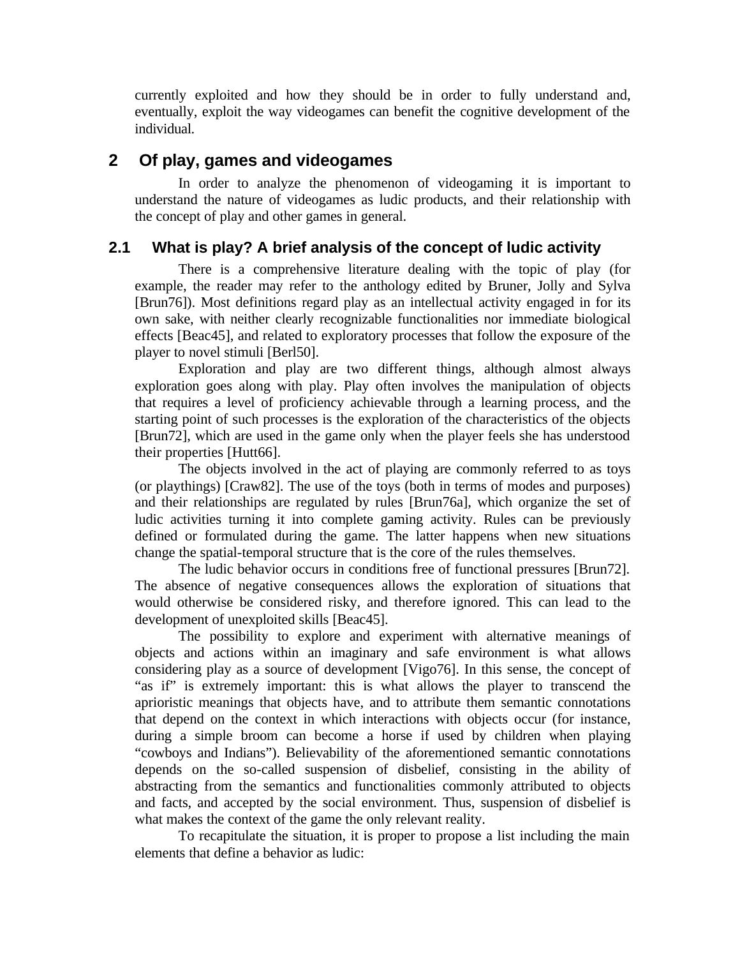currently exploited and how they should be in order to fully understand and, eventually, exploit the way videogames can benefit the cognitive development of the individual.

# **2 Of play, games and videogames**

In order to analyze the phenomenon of videogaming it is important to understand the nature of videogames as ludic products, and their relationship with the concept of play and other games in general.

# **2.1 What is play? A brief analysis of the concept of ludic activity**

There is a comprehensive literature dealing with the topic of play (for example, the reader may refer to the anthology edited by Bruner, Jolly and Sylva [Brun76]). Most definitions regard play as an intellectual activity engaged in for its own sake, with neither clearly recognizable functionalities nor immediate biological effects [Beac45], and related to exploratory processes that follow the exposure of the player to novel stimuli [Berl50].

Exploration and play are two different things, although almost always exploration goes along with play. Play often involves the manipulation of objects that requires a level of proficiency achievable through a learning process, and the starting point of such processes is the exploration of the characteristics of the objects [Brun72], which are used in the game only when the player feels she has understood their properties [Hutt66].

The objects involved in the act of playing are commonly referred to as toys (or playthings) [Craw82]. The use of the toys (both in terms of modes and purposes) and their relationships are regulated by rules [Brun76a], which organize the set of ludic activities turning it into complete gaming activity. Rules can be previously defined or formulated during the game. The latter happens when new situations change the spatial-temporal structure that is the core of the rules themselves.

The ludic behavior occurs in conditions free of functional pressures [Brun72]. The absence of negative consequences allows the exploration of situations that would otherwise be considered risky, and therefore ignored. This can lead to the development of unexploited skills [Beac45].

The possibility to explore and experiment with alternative meanings of objects and actions within an imaginary and safe environment is what allows considering play as a source of development [Vigo76]. In this sense, the concept of "as if" is extremely important: this is what allows the player to transcend the aprioristic meanings that objects have, and to attribute them semantic connotations that depend on the context in which interactions with objects occur (for instance, during a simple broom can become a horse if used by children when playing "cowboys and Indians"). Believability of the aforementioned semantic connotations depends on the so-called suspension of disbelief, consisting in the ability of abstracting from the semantics and functionalities commonly attributed to objects and facts, and accepted by the social environment. Thus, suspension of disbelief is what makes the context of the game the only relevant reality.

To recapitulate the situation, it is proper to propose a list including the main elements that define a behavior as ludic: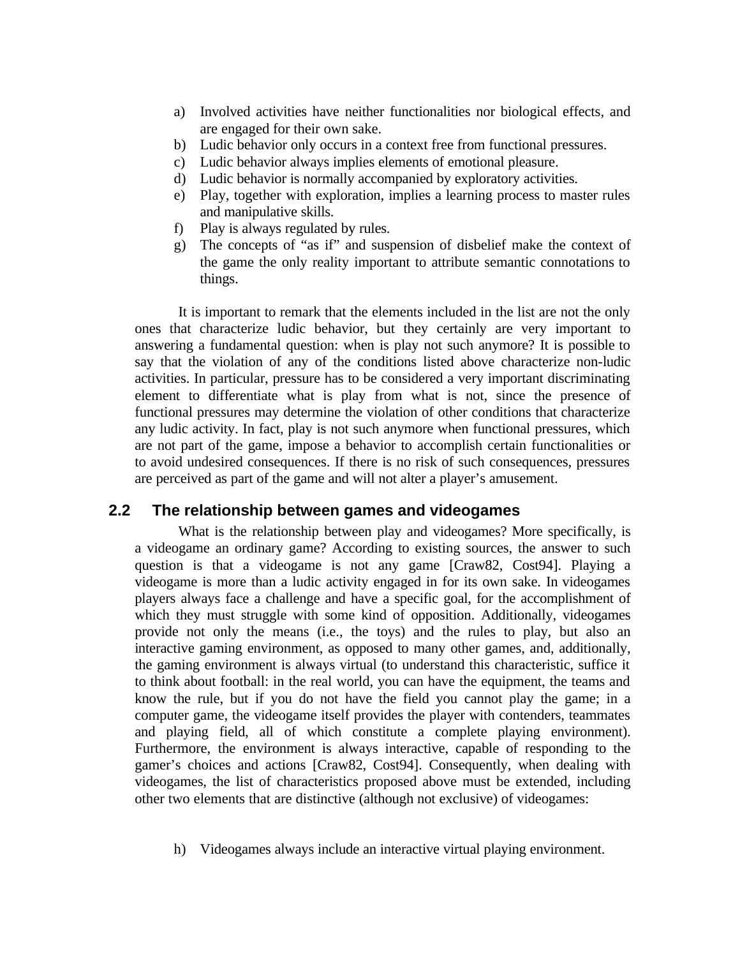- a) Involved activities have neither functionalities nor biological effects, and are engaged for their own sake.
- b) Ludic behavior only occurs in a context free from functional pressures.
- c) Ludic behavior always implies elements of emotional pleasure.
- d) Ludic behavior is normally accompanied by exploratory activities.
- e) Play, together with exploration, implies a learning process to master rules and manipulative skills.
- f) Play is always regulated by rules.
- g) The concepts of "as if" and suspension of disbelief make the context of the game the only reality important to attribute semantic connotations to things.

It is important to remark that the elements included in the list are not the only ones that characterize ludic behavior, but they certainly are very important to answering a fundamental question: when is play not such anymore? It is possible to say that the violation of any of the conditions listed above characterize non-ludic activities. In particular, pressure has to be considered a very important discriminating element to differentiate what is play from what is not, since the presence of functional pressures may determine the violation of other conditions that characterize any ludic activity. In fact, play is not such anymore when functional pressures, which are not part of the game, impose a behavior to accomplish certain functionalities or to avoid undesired consequences. If there is no risk of such consequences, pressures are perceived as part of the game and will not alter a player's amusement.

### **2.2 The relationship between games and videogames**

What is the relationship between play and videogames? More specifically, is a videogame an ordinary game? According to existing sources, the answer to such question is that a videogame is not any game [Craw82, Cost94]. Playing a videogame is more than a ludic activity engaged in for its own sake. In videogames players always face a challenge and have a specific goal, for the accomplishment of which they must struggle with some kind of opposition. Additionally, videogames provide not only the means (i.e., the toys) and the rules to play, but also an interactive gaming environment, as opposed to many other games, and, additionally, the gaming environment is always virtual (to understand this characteristic, suffice it to think about football: in the real world, you can have the equipment, the teams and know the rule, but if you do not have the field you cannot play the game; in a computer game, the videogame itself provides the player with contenders, teammates and playing field, all of which constitute a complete playing environment). Furthermore, the environment is always interactive, capable of responding to the gamer's choices and actions [Craw82, Cost94]. Consequently, when dealing with videogames, the list of characteristics proposed above must be extended, including other two elements that are distinctive (although not exclusive) of videogames:

h) Videogames always include an interactive virtual playing environment.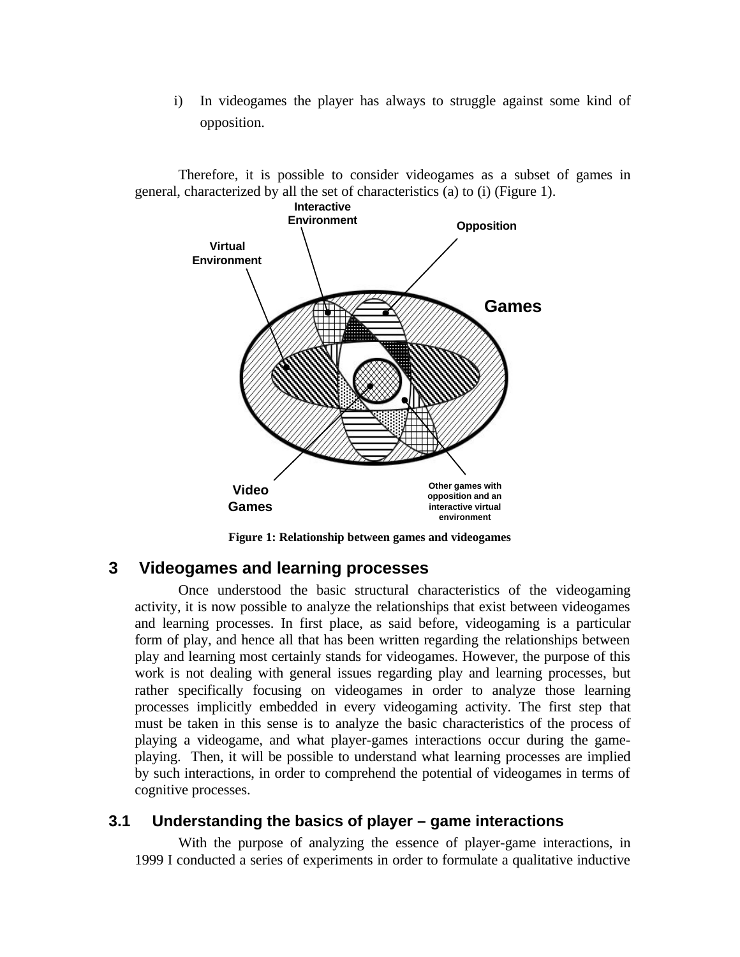i) In videogames the player has always to struggle against some kind of opposition.

Therefore, it is possible to consider videogames as a subset of games in general, characterized by all the set of characteristics (a) to (i) (Figure 1).



**Figure 1: Relationship between games and videogames**

# **3 Videogames and learning processes**

Once understood the basic structural characteristics of the videogaming activity, it is now possible to analyze the relationships that exist between videogames and learning processes. In first place, as said before, videogaming is a particular form of play, and hence all that has been written regarding the relationships between play and learning most certainly stands for videogames. However, the purpose of this work is not dealing with general issues regarding play and learning processes, but rather specifically focusing on videogames in order to analyze those learning processes implicitly embedded in every videogaming activity. The first step that must be taken in this sense is to analyze the basic characteristics of the process of playing a videogame, and what player-games interactions occur during the gameplaying. Then, it will be possible to understand what learning processes are implied by such interactions, in order to comprehend the potential of videogames in terms of cognitive processes.

### **3.1 Understanding the basics of player – game interactions**

With the purpose of analyzing the essence of player-game interactions, in 1999 I conducted a series of experiments in order to formulate a qualitative inductive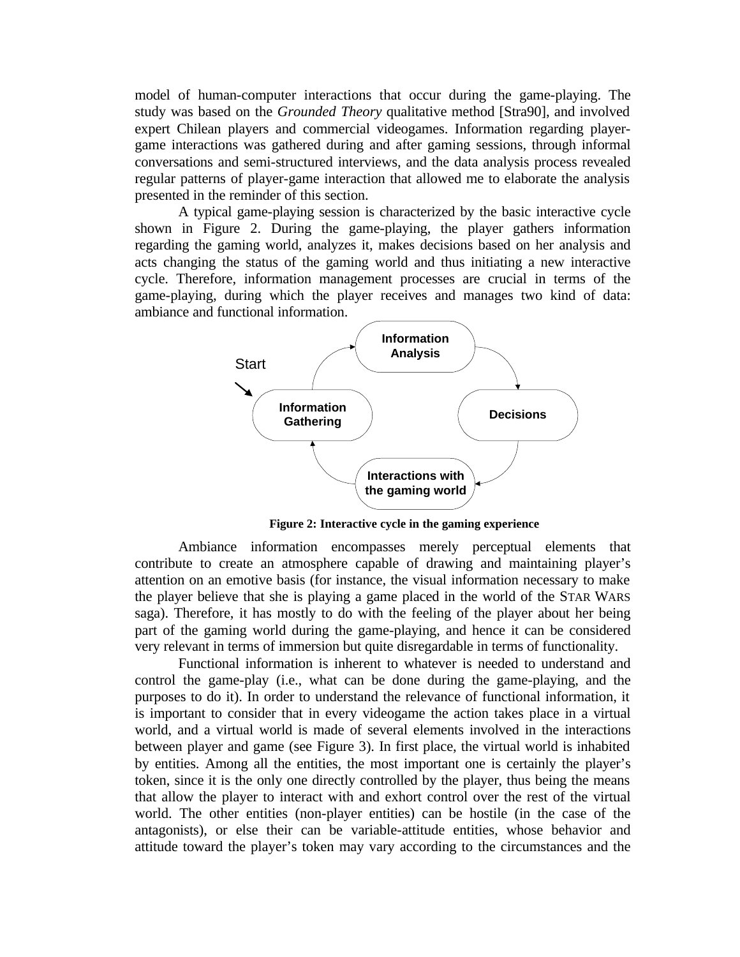model of human-computer interactions that occur during the game-playing. The study was based on the *Grounded Theory* qualitative method [Stra90], and involved expert Chilean players and commercial videogames. Information regarding playergame interactions was gathered during and after gaming sessions, through informal conversations and semi-structured interviews, and the data analysis process revealed regular patterns of player-game interaction that allowed me to elaborate the analysis presented in the reminder of this section.

A typical game-playing session is characterized by the basic interactive cycle shown in Figure 2. During the game-playing, the player gathers information regarding the gaming world, analyzes it, makes decisions based on her analysis and acts changing the status of the gaming world and thus initiating a new interactive cycle. Therefore, information management processes are crucial in terms of the game-playing, during which the player receives and manages two kind of data: ambiance and functional information.



**Figure 2: Interactive cycle in the gaming experience**

Ambiance information encompasses merely perceptual elements that contribute to create an atmosphere capable of drawing and maintaining player's attention on an emotive basis (for instance, the visual information necessary to make the player believe that she is playing a game placed in the world of the STAR WARS saga). Therefore, it has mostly to do with the feeling of the player about her being part of the gaming world during the game-playing, and hence it can be considered very relevant in terms of immersion but quite disregardable in terms of functionality.

Functional information is inherent to whatever is needed to understand and control the game-play (i.e., what can be done during the game-playing, and the purposes to do it). In order to understand the relevance of functional information, it is important to consider that in every videogame the action takes place in a virtual world, and a virtual world is made of several elements involved in the interactions between player and game (see Figure 3). In first place, the virtual world is inhabited by entities. Among all the entities, the most important one is certainly the player's token, since it is the only one directly controlled by the player, thus being the means that allow the player to interact with and exhort control over the rest of the virtual world. The other entities (non-player entities) can be hostile (in the case of the antagonists), or else their can be variable-attitude entities, whose behavior and attitude toward the player's token may vary according to the circumstances and the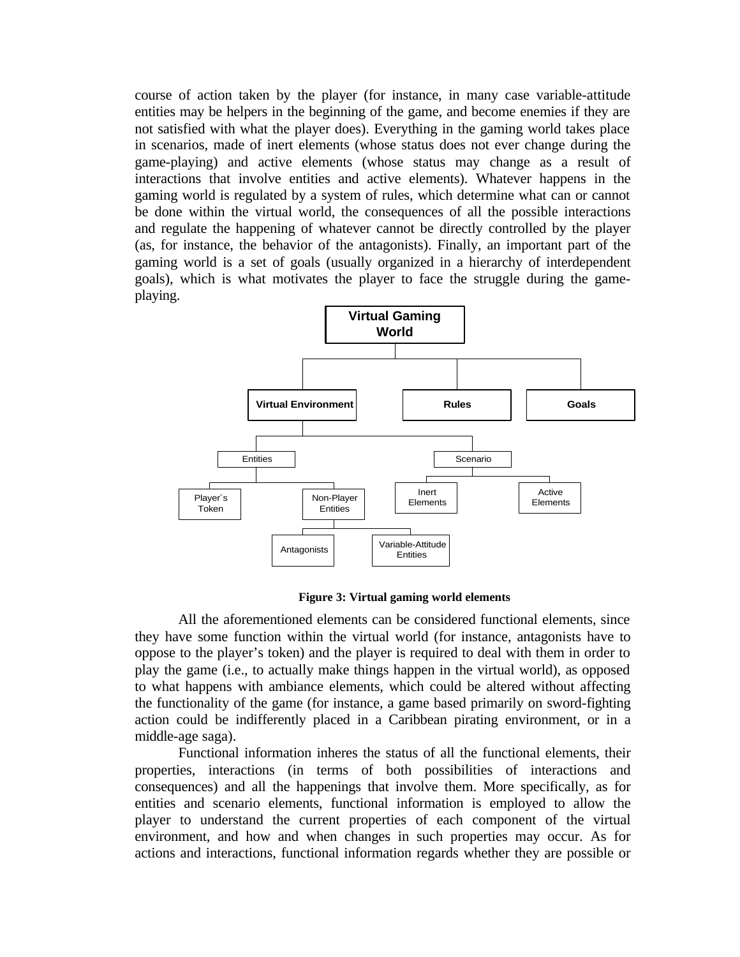course of action taken by the player (for instance, in many case variable-attitude entities may be helpers in the beginning of the game, and become enemies if they are not satisfied with what the player does). Everything in the gaming world takes place in scenarios, made of inert elements (whose status does not ever change during the game-playing) and active elements (whose status may change as a result of interactions that involve entities and active elements). Whatever happens in the gaming world is regulated by a system of rules, which determine what can or cannot be done within the virtual world, the consequences of all the possible interactions and regulate the happening of whatever cannot be directly controlled by the player (as, for instance, the behavior of the antagonists). Finally, an important part of the gaming world is a set of goals (usually organized in a hierarchy of interdependent goals), which is what motivates the player to face the struggle during the gameplaying.



**Figure 3: Virtual gaming world elements**

All the aforementioned elements can be considered functional elements, since they have some function within the virtual world (for instance, antagonists have to oppose to the player's token) and the player is required to deal with them in order to play the game (i.e., to actually make things happen in the virtual world), as opposed to what happens with ambiance elements, which could be altered without affecting the functionality of the game (for instance, a game based primarily on sword-fighting action could be indifferently placed in a Caribbean pirating environment, or in a middle-age saga).

Functional information inheres the status of all the functional elements, their properties, interactions (in terms of both possibilities of interactions and consequences) and all the happenings that involve them. More specifically, as for entities and scenario elements, functional information is employed to allow the player to understand the current properties of each component of the virtual environment, and how and when changes in such properties may occur. As for actions and interactions, functional information regards whether they are possible or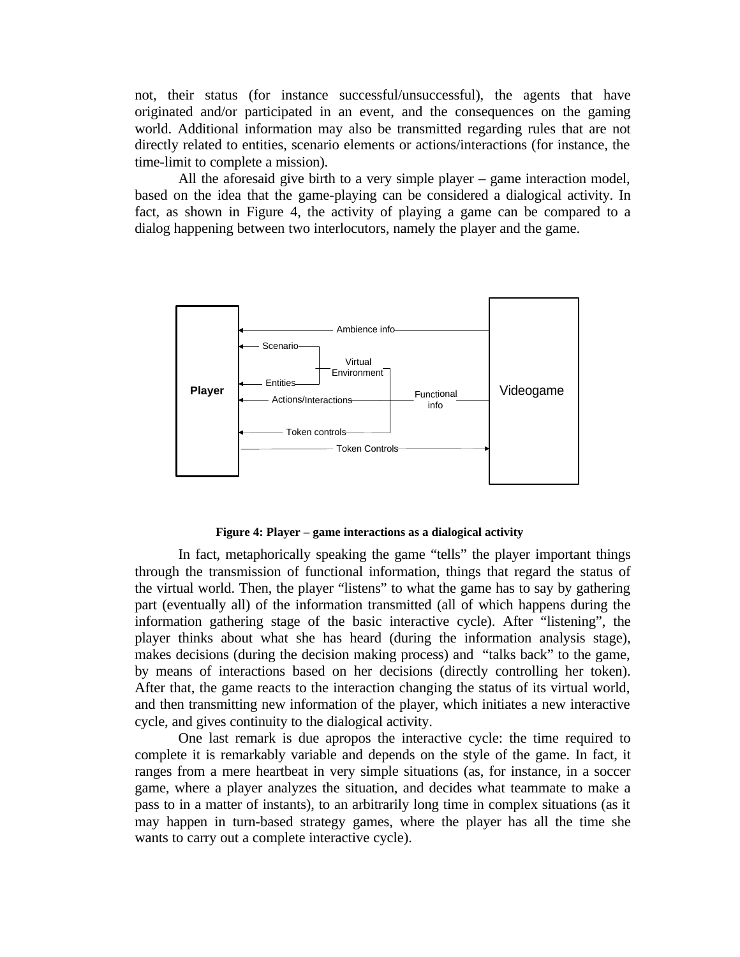not, their status (for instance successful/unsuccessful), the agents that have originated and/or participated in an event, and the consequences on the gaming world. Additional information may also be transmitted regarding rules that are not directly related to entities, scenario elements or actions/interactions (for instance, the time-limit to complete a mission).

All the aforesaid give birth to a very simple player – game interaction model, based on the idea that the game-playing can be considered a dialogical activity. In fact, as shown in Figure 4, the activity of playing a game can be compared to a dialog happening between two interlocutors, namely the player and the game.



#### **Figure 4: Player – game interactions as a dialogical activity**

In fact, metaphorically speaking the game "tells" the player important things through the transmission of functional information, things that regard the status of the virtual world. Then, the player "listens" to what the game has to say by gathering part (eventually all) of the information transmitted (all of which happens during the information gathering stage of the basic interactive cycle). After "listening", the player thinks about what she has heard (during the information analysis stage), makes decisions (during the decision making process) and "talks back" to the game, by means of interactions based on her decisions (directly controlling her token). After that, the game reacts to the interaction changing the status of its virtual world, and then transmitting new information of the player, which initiates a new interactive cycle, and gives continuity to the dialogical activity.

One last remark is due apropos the interactive cycle: the time required to complete it is remarkably variable and depends on the style of the game. In fact, it ranges from a mere heartbeat in very simple situations (as, for instance, in a soccer game, where a player analyzes the situation, and decides what teammate to make a pass to in a matter of instants), to an arbitrarily long time in complex situations (as it may happen in turn-based strategy games, where the player has all the time she wants to carry out a complete interactive cycle).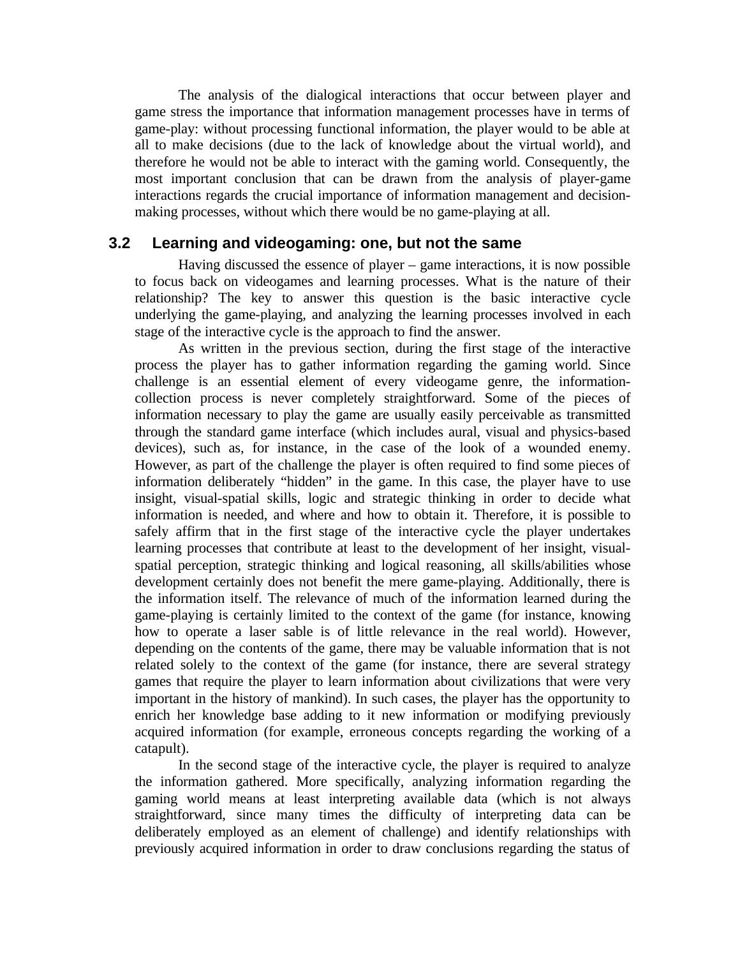The analysis of the dialogical interactions that occur between player and game stress the importance that information management processes have in terms of game-play: without processing functional information, the player would to be able at all to make decisions (due to the lack of knowledge about the virtual world), and therefore he would not be able to interact with the gaming world. Consequently, the most important conclusion that can be drawn from the analysis of player-game interactions regards the crucial importance of information management and decisionmaking processes, without which there would be no game-playing at all.

#### **3.2 Learning and videogaming: one, but not the same**

Having discussed the essence of player – game interactions, it is now possible to focus back on videogames and learning processes. What is the nature of their relationship? The key to answer this question is the basic interactive cycle underlying the game-playing, and analyzing the learning processes involved in each stage of the interactive cycle is the approach to find the answer.

As written in the previous section, during the first stage of the interactive process the player has to gather information regarding the gaming world. Since challenge is an essential element of every videogame genre, the informationcollection process is never completely straightforward. Some of the pieces of information necessary to play the game are usually easily perceivable as transmitted through the standard game interface (which includes aural, visual and physics-based devices), such as, for instance, in the case of the look of a wounded enemy. However, as part of the challenge the player is often required to find some pieces of information deliberately "hidden" in the game. In this case, the player have to use insight, visual-spatial skills, logic and strategic thinking in order to decide what information is needed, and where and how to obtain it. Therefore, it is possible to safely affirm that in the first stage of the interactive cycle the player undertakes learning processes that contribute at least to the development of her insight, visualspatial perception, strategic thinking and logical reasoning, all skills/abilities whose development certainly does not benefit the mere game-playing. Additionally, there is the information itself. The relevance of much of the information learned during the game-playing is certainly limited to the context of the game (for instance, knowing how to operate a laser sable is of little relevance in the real world). However, depending on the contents of the game, there may be valuable information that is not related solely to the context of the game (for instance, there are several strategy games that require the player to learn information about civilizations that were very important in the history of mankind). In such cases, the player has the opportunity to enrich her knowledge base adding to it new information or modifying previously acquired information (for example, erroneous concepts regarding the working of a catapult).

In the second stage of the interactive cycle, the player is required to analyze the information gathered. More specifically, analyzing information regarding the gaming world means at least interpreting available data (which is not always straightforward, since many times the difficulty of interpreting data can be deliberately employed as an element of challenge) and identify relationships with previously acquired information in order to draw conclusions regarding the status of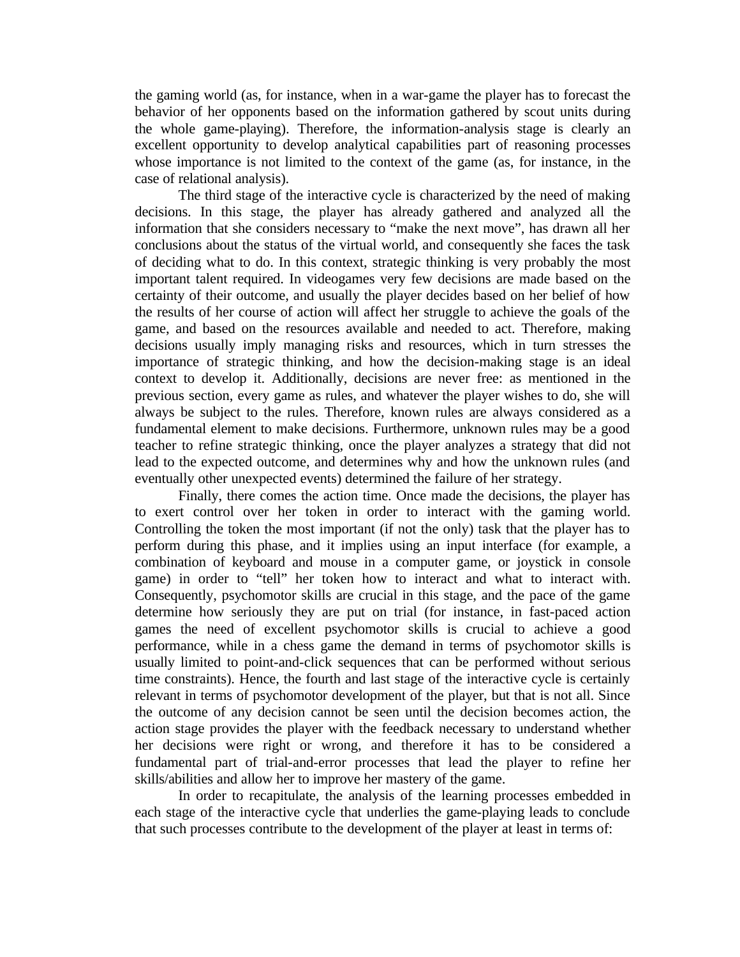the gaming world (as, for instance, when in a war-game the player has to forecast the behavior of her opponents based on the information gathered by scout units during the whole game-playing). Therefore, the information-analysis stage is clearly an excellent opportunity to develop analytical capabilities part of reasoning processes whose importance is not limited to the context of the game (as, for instance, in the case of relational analysis).

The third stage of the interactive cycle is characterized by the need of making decisions. In this stage, the player has already gathered and analyzed all the information that she considers necessary to "make the next move", has drawn all her conclusions about the status of the virtual world, and consequently she faces the task of deciding what to do. In this context, strategic thinking is very probably the most important talent required. In videogames very few decisions are made based on the certainty of their outcome, and usually the player decides based on her belief of how the results of her course of action will affect her struggle to achieve the goals of the game, and based on the resources available and needed to act. Therefore, making decisions usually imply managing risks and resources, which in turn stresses the importance of strategic thinking, and how the decision-making stage is an ideal context to develop it. Additionally, decisions are never free: as mentioned in the previous section, every game as rules, and whatever the player wishes to do, she will always be subject to the rules. Therefore, known rules are always considered as a fundamental element to make decisions. Furthermore, unknown rules may be a good teacher to refine strategic thinking, once the player analyzes a strategy that did not lead to the expected outcome, and determines why and how the unknown rules (and eventually other unexpected events) determined the failure of her strategy.

Finally, there comes the action time. Once made the decisions, the player has to exert control over her token in order to interact with the gaming world. Controlling the token the most important (if not the only) task that the player has to perform during this phase, and it implies using an input interface (for example, a combination of keyboard and mouse in a computer game, or joystick in console game) in order to "tell" her token how to interact and what to interact with. Consequently, psychomotor skills are crucial in this stage, and the pace of the game determine how seriously they are put on trial (for instance, in fast-paced action games the need of excellent psychomotor skills is crucial to achieve a good performance, while in a chess game the demand in terms of psychomotor skills is usually limited to point-and-click sequences that can be performed without serious time constraints). Hence, the fourth and last stage of the interactive cycle is certainly relevant in terms of psychomotor development of the player, but that is not all. Since the outcome of any decision cannot be seen until the decision becomes action, the action stage provides the player with the feedback necessary to understand whether her decisions were right or wrong, and therefore it has to be considered a fundamental part of trial-and-error processes that lead the player to refine her skills/abilities and allow her to improve her mastery of the game.

In order to recapitulate, the analysis of the learning processes embedded in each stage of the interactive cycle that underlies the game-playing leads to conclude that such processes contribute to the development of the player at least in terms of: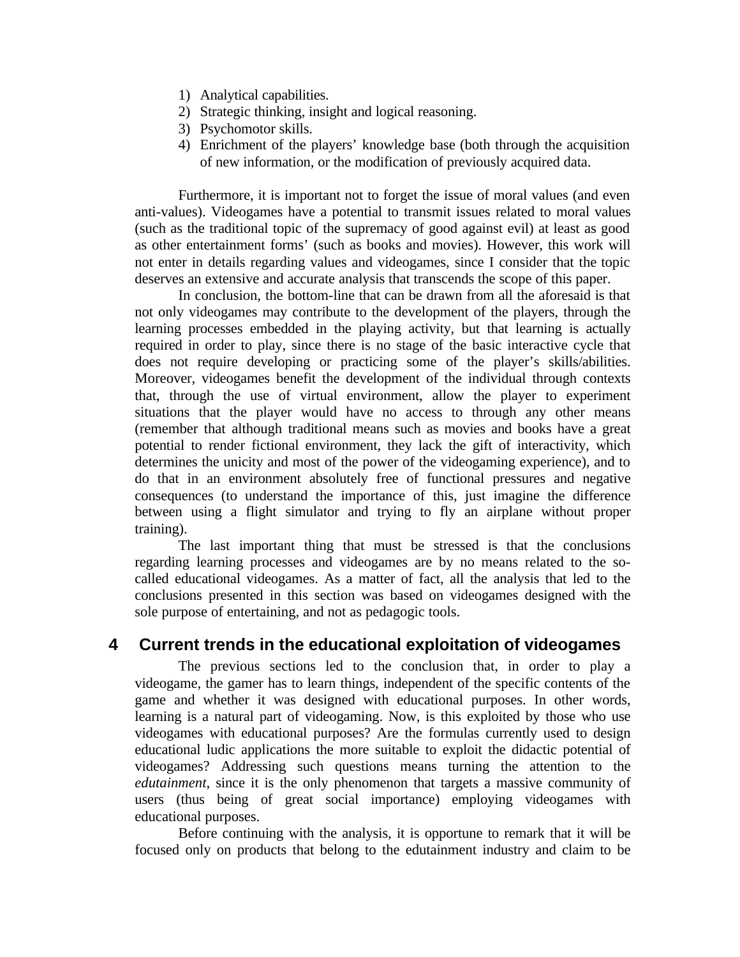- 1) Analytical capabilities.
- 2) Strategic thinking, insight and logical reasoning.
- 3) Psychomotor skills.
- 4) Enrichment of the players' knowledge base (both through the acquisition of new information, or the modification of previously acquired data.

Furthermore, it is important not to forget the issue of moral values (and even anti-values). Videogames have a potential to transmit issues related to moral values (such as the traditional topic of the supremacy of good against evil) at least as good as other entertainment forms' (such as books and movies). However, this work will not enter in details regarding values and videogames, since I consider that the topic deserves an extensive and accurate analysis that transcends the scope of this paper.

In conclusion, the bottom-line that can be drawn from all the aforesaid is that not only videogames may contribute to the development of the players, through the learning processes embedded in the playing activity, but that learning is actually required in order to play, since there is no stage of the basic interactive cycle that does not require developing or practicing some of the player's skills/abilities. Moreover, videogames benefit the development of the individual through contexts that, through the use of virtual environment, allow the player to experiment situations that the player would have no access to through any other means (remember that although traditional means such as movies and books have a great potential to render fictional environment, they lack the gift of interactivity, which determines the unicity and most of the power of the videogaming experience), and to do that in an environment absolutely free of functional pressures and negative consequences (to understand the importance of this, just imagine the difference between using a flight simulator and trying to fly an airplane without proper training).

The last important thing that must be stressed is that the conclusions regarding learning processes and videogames are by no means related to the socalled educational videogames. As a matter of fact, all the analysis that led to the conclusions presented in this section was based on videogames designed with the sole purpose of entertaining, and not as pedagogic tools.

# **4 Current trends in the educational exploitation of videogames**

The previous sections led to the conclusion that, in order to play a videogame, the gamer has to learn things, independent of the specific contents of the game and whether it was designed with educational purposes. In other words, learning is a natural part of videogaming. Now, is this exploited by those who use videogames with educational purposes? Are the formulas currently used to design educational ludic applications the more suitable to exploit the didactic potential of videogames? Addressing such questions means turning the attention to the *edutainment*, since it is the only phenomenon that targets a massive community of users (thus being of great social importance) employing videogames with educational purposes.

Before continuing with the analysis, it is opportune to remark that it will be focused only on products that belong to the edutainment industry and claim to be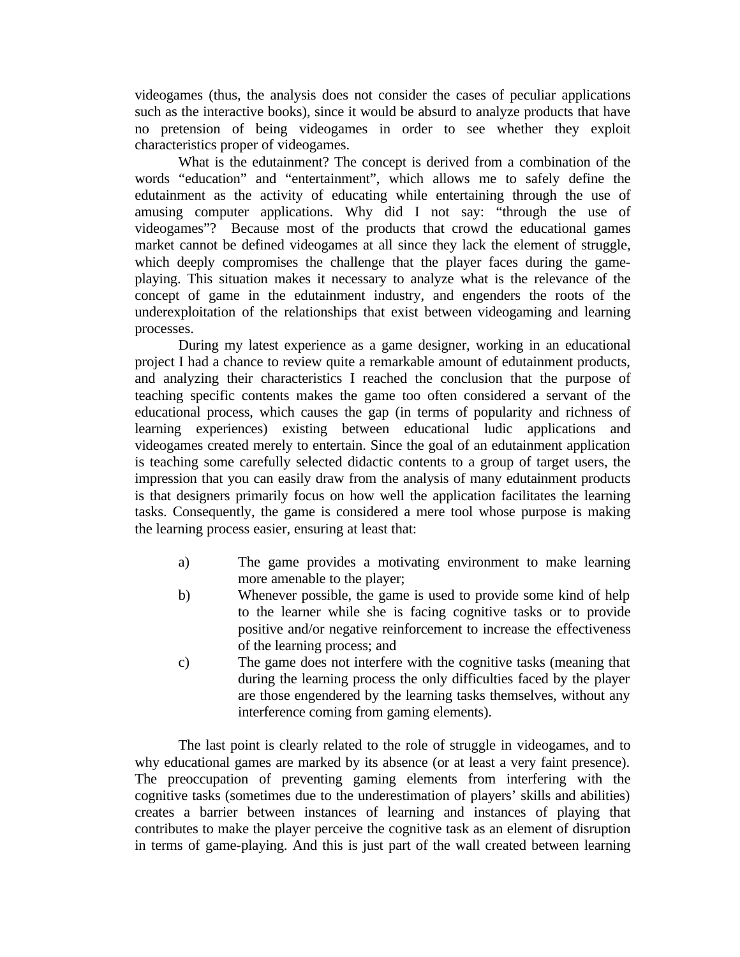videogames (thus, the analysis does not consider the cases of peculiar applications such as the interactive books), since it would be absurd to analyze products that have no pretension of being videogames in order to see whether they exploit characteristics proper of videogames.

What is the edutainment? The concept is derived from a combination of the words "education" and "entertainment", which allows me to safely define the edutainment as the activity of educating while entertaining through the use of amusing computer applications. Why did I not say: "through the use of videogames"? Because most of the products that crowd the educational games market cannot be defined videogames at all since they lack the element of struggle, which deeply compromises the challenge that the player faces during the gameplaying. This situation makes it necessary to analyze what is the relevance of the concept of game in the edutainment industry, and engenders the roots of the underexploitation of the relationships that exist between videogaming and learning processes.

During my latest experience as a game designer, working in an educational project I had a chance to review quite a remarkable amount of edutainment products, and analyzing their characteristics I reached the conclusion that the purpose of teaching specific contents makes the game too often considered a servant of the educational process, which causes the gap (in terms of popularity and richness of learning experiences) existing between educational ludic applications and videogames created merely to entertain. Since the goal of an edutainment application is teaching some carefully selected didactic contents to a group of target users, the impression that you can easily draw from the analysis of many edutainment products is that designers primarily focus on how well the application facilitates the learning tasks. Consequently, the game is considered a mere tool whose purpose is making the learning process easier, ensuring at least that:

- a) The game provides a motivating environment to make learning more amenable to the player;
- b) Whenever possible, the game is used to provide some kind of help to the learner while she is facing cognitive tasks or to provide positive and/or negative reinforcement to increase the effectiveness of the learning process; and
- c) The game does not interfere with the cognitive tasks (meaning that during the learning process the only difficulties faced by the player are those engendered by the learning tasks themselves, without any interference coming from gaming elements).

The last point is clearly related to the role of struggle in videogames, and to why educational games are marked by its absence (or at least a very faint presence). The preoccupation of preventing gaming elements from interfering with the cognitive tasks (sometimes due to the underestimation of players' skills and abilities) creates a barrier between instances of learning and instances of playing that contributes to make the player perceive the cognitive task as an element of disruption in terms of game-playing. And this is just part of the wall created between learning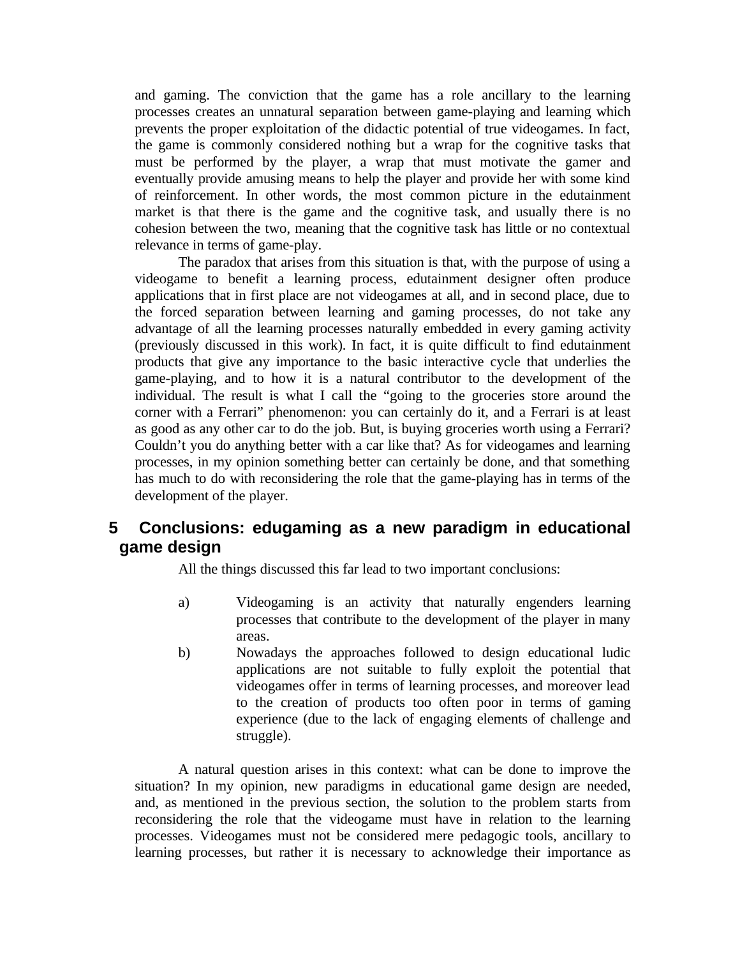and gaming. The conviction that the game has a role ancillary to the learning processes creates an unnatural separation between game-playing and learning which prevents the proper exploitation of the didactic potential of true videogames. In fact, the game is commonly considered nothing but a wrap for the cognitive tasks that must be performed by the player, a wrap that must motivate the gamer and eventually provide amusing means to help the player and provide her with some kind of reinforcement. In other words, the most common picture in the edutainment market is that there is the game and the cognitive task, and usually there is no cohesion between the two, meaning that the cognitive task has little or no contextual relevance in terms of game-play.

The paradox that arises from this situation is that, with the purpose of using a videogame to benefit a learning process, edutainment designer often produce applications that in first place are not videogames at all, and in second place, due to the forced separation between learning and gaming processes, do not take any advantage of all the learning processes naturally embedded in every gaming activity (previously discussed in this work). In fact, it is quite difficult to find edutainment products that give any importance to the basic interactive cycle that underlies the game-playing, and to how it is a natural contributor to the development of the individual. The result is what I call the "going to the groceries store around the corner with a Ferrari" phenomenon: you can certainly do it, and a Ferrari is at least as good as any other car to do the job. But, is buying groceries worth using a Ferrari? Couldn't you do anything better with a car like that? As for videogames and learning processes, in my opinion something better can certainly be done, and that something has much to do with reconsidering the role that the game-playing has in terms of the development of the player.

# **5 Conclusions: edugaming as a new paradigm in educational game design**

All the things discussed this far lead to two important conclusions:

- a) Videogaming is an activity that naturally engenders learning processes that contribute to the development of the player in many areas.
- b) Nowadays the approaches followed to design educational ludic applications are not suitable to fully exploit the potential that videogames offer in terms of learning processes, and moreover lead to the creation of products too often poor in terms of gaming experience (due to the lack of engaging elements of challenge and struggle).

A natural question arises in this context: what can be done to improve the situation? In my opinion, new paradigms in educational game design are needed, and, as mentioned in the previous section, the solution to the problem starts from reconsidering the role that the videogame must have in relation to the learning processes. Videogames must not be considered mere pedagogic tools, ancillary to learning processes, but rather it is necessary to acknowledge their importance as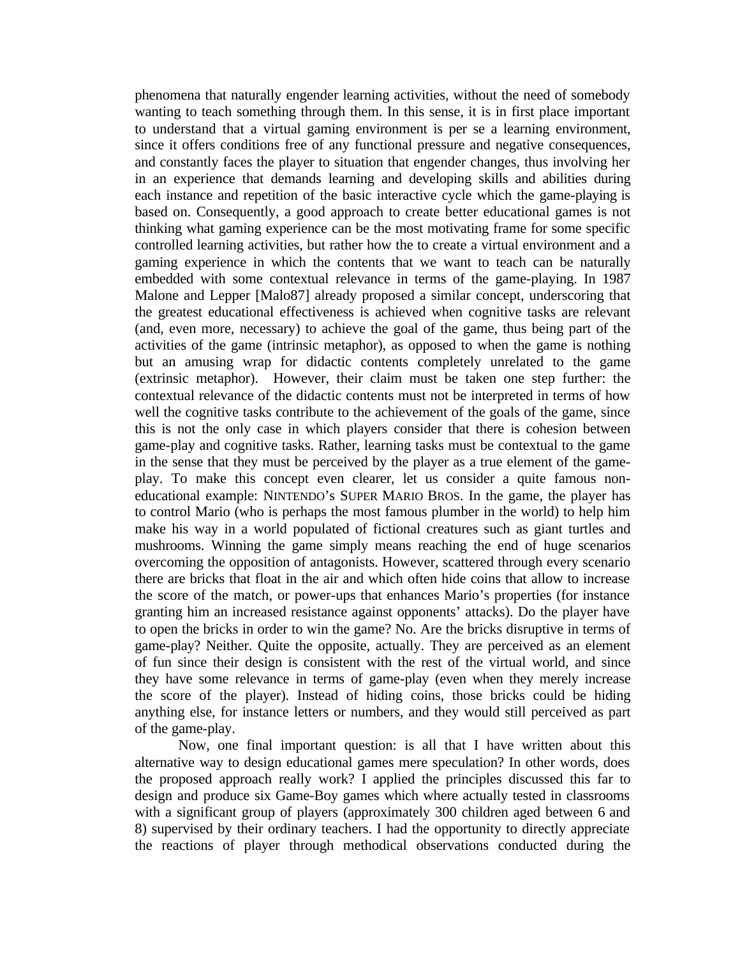phenomena that naturally engender learning activities, without the need of somebody wanting to teach something through them. In this sense, it is in first place important to understand that a virtual gaming environment is per se a learning environment, since it offers conditions free of any functional pressure and negative consequences, and constantly faces the player to situation that engender changes, thus involving her in an experience that demands learning and developing skills and abilities during each instance and repetition of the basic interactive cycle which the game-playing is based on. Consequently, a good approach to create better educational games is not thinking what gaming experience can be the most motivating frame for some specific controlled learning activities, but rather how the to create a virtual environment and a gaming experience in which the contents that we want to teach can be naturally embedded with some contextual relevance in terms of the game-playing. In 1987 Malone and Lepper [Malo87] already proposed a similar concept, underscoring that the greatest educational effectiveness is achieved when cognitive tasks are relevant (and, even more, necessary) to achieve the goal of the game, thus being part of the activities of the game (intrinsic metaphor), as opposed to when the game is nothing but an amusing wrap for didactic contents completely unrelated to the game (extrinsic metaphor). However, their claim must be taken one step further: the contextual relevance of the didactic contents must not be interpreted in terms of how well the cognitive tasks contribute to the achievement of the goals of the game, since this is not the only case in which players consider that there is cohesion between game-play and cognitive tasks. Rather, learning tasks must be contextual to the game in the sense that they must be perceived by the player as a true element of the gameplay. To make this concept even clearer, let us consider a quite famous noneducational example: NINTENDO's SUPER MARIO BROS. In the game, the player has to control Mario (who is perhaps the most famous plumber in the world) to help him make his way in a world populated of fictional creatures such as giant turtles and mushrooms. Winning the game simply means reaching the end of huge scenarios overcoming the opposition of antagonists. However, scattered through every scenario there are bricks that float in the air and which often hide coins that allow to increase the score of the match, or power-ups that enhances Mario's properties (for instance granting him an increased resistance against opponents' attacks). Do the player have to open the bricks in order to win the game? No. Are the bricks disruptive in terms of game-play? Neither. Quite the opposite, actually. They are perceived as an element of fun since their design is consistent with the rest of the virtual world, and since they have some relevance in terms of game-play (even when they merely increase the score of the player). Instead of hiding coins, those bricks could be hiding anything else, for instance letters or numbers, and they would still perceived as part of the game-play.

Now, one final important question: is all that I have written about this alternative way to design educational games mere speculation? In other words, does the proposed approach really work? I applied the principles discussed this far to design and produce six Game-Boy games which where actually tested in classrooms with a significant group of players (approximately 300 children aged between 6 and 8) supervised by their ordinary teachers. I had the opportunity to directly appreciate the reactions of player through methodical observations conducted during the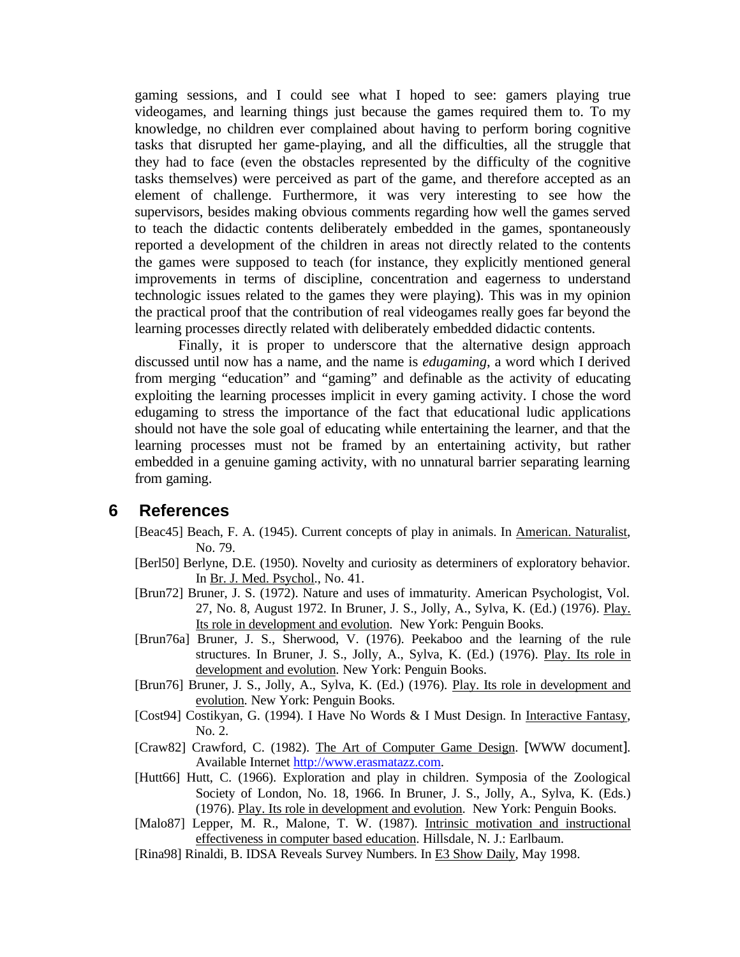gaming sessions, and I could see what I hoped to see: gamers playing true videogames, and learning things just because the games required them to. To my knowledge, no children ever complained about having to perform boring cognitive tasks that disrupted her game-playing, and all the difficulties, all the struggle that they had to face (even the obstacles represented by the difficulty of the cognitive tasks themselves) were perceived as part of the game, and therefore accepted as an element of challenge. Furthermore, it was very interesting to see how the supervisors, besides making obvious comments regarding how well the games served to teach the didactic contents deliberately embedded in the games, spontaneously reported a development of the children in areas not directly related to the contents the games were supposed to teach (for instance, they explicitly mentioned general improvements in terms of discipline, concentration and eagerness to understand technologic issues related to the games they were playing). This was in my opinion the practical proof that the contribution of real videogames really goes far beyond the learning processes directly related with deliberately embedded didactic contents.

Finally, it is proper to underscore that the alternative design approach discussed until now has a name, and the name is *edugaming*, a word which I derived from merging "education" and "gaming" and definable as the activity of educating exploiting the learning processes implicit in every gaming activity. I chose the word edugaming to stress the importance of the fact that educational ludic applications should not have the sole goal of educating while entertaining the learner, and that the learning processes must not be framed by an entertaining activity, but rather embedded in a genuine gaming activity, with no unnatural barrier separating learning from gaming.

### **6 References**

- [Beac45] Beach, F. A. (1945). Current concepts of play in animals. In American. Naturalist, No. 79.
- [Berl50] Berlyne, D.E. (1950). Novelty and curiosity as determiners of exploratory behavior. In Br. J. Med. Psychol., No. 41.
- [Brun72] Bruner, J. S. (1972). Nature and uses of immaturity. American Psychologist, Vol. 27, No. 8, August 1972. In Bruner, J. S., Jolly, A., Sylva, K. (Ed.) (1976). Play. Its role in development and evolution. New York: Penguin Books.
- [Brun76a] Bruner, J. S., Sherwood, V. (1976). Peekaboo and the learning of the rule structures. In Bruner, J. S., Jolly, A., Sylva, K. (Ed.) (1976). Play. Its role in development and evolution. New York: Penguin Books.
- [Brun76] Bruner, J. S., Jolly, A., Sylva, K. (Ed.) (1976). Play. Its role in development and evolution. New York: Penguin Books.
- [Cost94] Costikyan, G. (1994). I Have No Words & I Must Design. In Interactive Fantasy, No. 2.
- [Craw82] Crawford, C. (1982). The Art of Computer Game Design. [WWW document]. Available Internet http://www.erasmatazz.com.
- [Hutt66] Hutt, C. (1966). Exploration and play in children. Symposia of the Zoological Society of London, No. 18, 1966. In Bruner, J. S., Jolly, A., Sylva, K. (Eds.) (1976). Play. Its role in development and evolution. New York: Penguin Books.
- [Malo87] Lepper, M. R., Malone, T. W. (1987). Intrinsic motivation and instructional effectiveness in computer based education. Hillsdale, N. J.: Earlbaum.
- [Rina98] Rinaldi, B. IDSA Reveals Survey Numbers. In E3 Show Daily, May 1998.